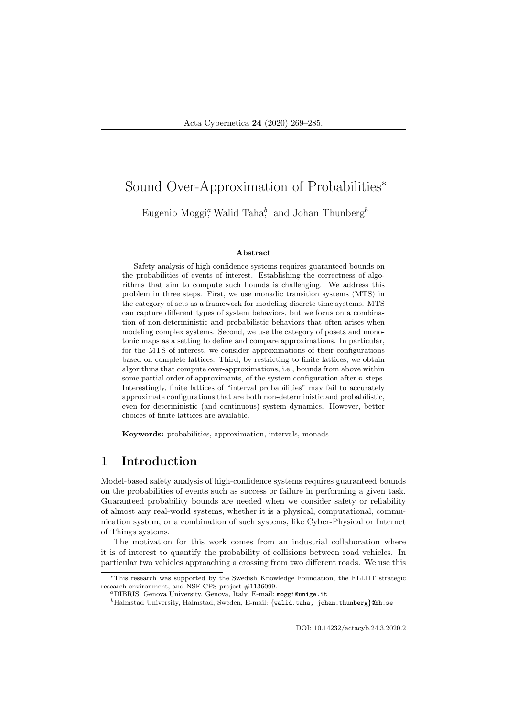# Sound Over-Approximation of Probabilities<sup>∗</sup>

Eugenio Moggi<sup>a</sup>, Walid Taha<sup>b</sup>, and Johan Thunberg<sup>b</sup>

#### Abstract

Safety analysis of high confidence systems requires guaranteed bounds on the probabilities of events of interest. Establishing the correctness of algorithms that aim to compute such bounds is challenging. We address this problem in three steps. First, we use monadic transition systems (MTS) in the category of sets as a framework for modeling discrete time systems. MTS can capture different types of system behaviors, but we focus on a combination of non-deterministic and probabilistic behaviors that often arises when modeling complex systems. Second, we use the category of posets and monotonic maps as a setting to define and compare approximations. In particular, for the MTS of interest, we consider approximations of their configurations based on complete lattices. Third, by restricting to finite lattices, we obtain algorithms that compute over-approximations, i.e., bounds from above within some partial order of approximants, of the system configuration after  $n$  steps. Interestingly, finite lattices of "interval probabilities" may fail to accurately approximate configurations that are both non-deterministic and probabilistic, even for deterministic (and continuous) system dynamics. However, better choices of finite lattices are available.

Keywords: probabilities, approximation, intervals, monads

# 1 Introduction

Model-based safety analysis of high-confidence systems requires guaranteed bounds on the probabilities of events such as success or failure in performing a given task. Guaranteed probability bounds are needed when we consider safety or reliability of almost any real-world systems, whether it is a physical, computational, communication system, or a combination of such systems, like Cyber-Physical or Internet of Things systems.

The motivation for this work comes from an industrial collaboration where it is of interest to quantify the probability of collisions between road vehicles. In particular two vehicles approaching a crossing from two different roads. We use this

DOI: 10.14232/actacyb.24.3.2020.2

<sup>∗</sup>This research was supported by the Swedish Knowledge Foundation, the ELLIIT strategic research environment, and NSF CPS project #1136099.

<sup>a</sup>DIBRIS, Genova University, Genova, Italy, E-mail: moggi@unige.it

 $^{b}$ Halmstad University, Halmstad, Sweden, E-mail: {walid.taha, johan.thunberg}@hh.se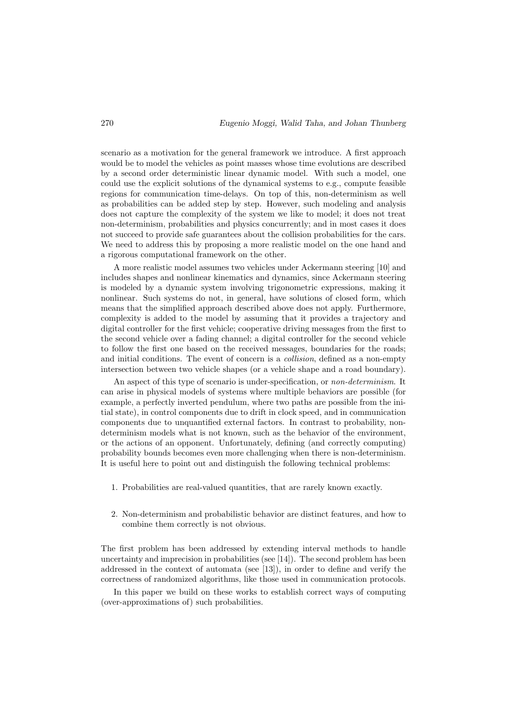scenario as a motivation for the general framework we introduce. A first approach would be to model the vehicles as point masses whose time evolutions are described by a second order deterministic linear dynamic model. With such a model, one could use the explicit solutions of the dynamical systems to e.g., compute feasible regions for communication time-delays. On top of this, non-determinism as well as probabilities can be added step by step. However, such modeling and analysis does not capture the complexity of the system we like to model; it does not treat non-determinism, probabilities and physics concurrently; and in most cases it does not succeed to provide safe guarantees about the collision probabilities for the cars. We need to address this by proposing a more realistic model on the one hand and a rigorous computational framework on the other.

A more realistic model assumes two vehicles under Ackermann steering [10] and includes shapes and nonlinear kinematics and dynamics, since Ackermann steering is modeled by a dynamic system involving trigonometric expressions, making it nonlinear. Such systems do not, in general, have solutions of closed form, which means that the simplified approach described above does not apply. Furthermore, complexity is added to the model by assuming that it provides a trajectory and digital controller for the first vehicle; cooperative driving messages from the first to the second vehicle over a fading channel; a digital controller for the second vehicle to follow the first one based on the received messages, boundaries for the roads; and initial conditions. The event of concern is a *collision*, defined as a non-empty intersection between two vehicle shapes (or a vehicle shape and a road boundary).

An aspect of this type of scenario is under-specification, or non-determinism. It can arise in physical models of systems where multiple behaviors are possible (for example, a perfectly inverted pendulum, where two paths are possible from the initial state), in control components due to drift in clock speed, and in communication components due to unquantified external factors. In contrast to probability, nondeterminism models what is not known, such as the behavior of the environment, or the actions of an opponent. Unfortunately, defining (and correctly computing) probability bounds becomes even more challenging when there is non-determinism. It is useful here to point out and distinguish the following technical problems:

- 1. Probabilities are real-valued quantities, that are rarely known exactly.
- 2. Non-determinism and probabilistic behavior are distinct features, and how to combine them correctly is not obvious.

The first problem has been addressed by extending interval methods to handle uncertainty and imprecision in probabilities (see  $[14]$ ). The second problem has been addressed in the context of automata (see [13]), in order to define and verify the correctness of randomized algorithms, like those used in communication protocols.

In this paper we build on these works to establish correct ways of computing (over-approximations of) such probabilities.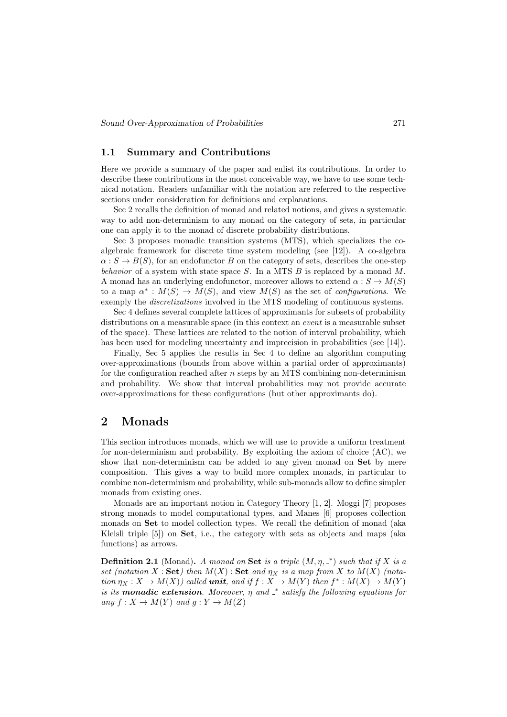#### 1.1 Summary and Contributions

Here we provide a summary of the paper and enlist its contributions. In order to describe these contributions in the most conceivable way, we have to use some technical notation. Readers unfamiliar with the notation are referred to the respective sections under consideration for definitions and explanations.

Sec 2 recalls the definition of monad and related notions, and gives a systematic way to add non-determinism to any monad on the category of sets, in particular one can apply it to the monad of discrete probability distributions.

Sec 3 proposes monadic transition systems (MTS), which specializes the coalgebraic framework for discrete time system modeling (see [12]). A co-algebra  $\alpha: S \to B(S)$ , for an endofunctor B on the category of sets, describes the one-step behavior of a system with state space S. In a MTS  $B$  is replaced by a monad M. A monad has an underlying endofunctor, moreover allows to extend  $\alpha : S \to M(S)$ to a map  $\alpha^*: M(S) \to M(S)$ , and view  $M(S)$  as the set of *configurations*. We exemply the discretizations involved in the MTS modeling of continuous systems.

Sec 4 defines several complete lattices of approximants for subsets of probability distributions on a measurable space (in this context an event is a measurable subset of the space). These lattices are related to the notion of interval probability, which has been used for modeling uncertainty and imprecision in probabilities (see [14]).

Finally, Sec 5 applies the results in Sec 4 to define an algorithm computing over-approximations (bounds from above within a partial order of approximants) for the configuration reached after  $n$  steps by an MTS combining non-determinism and probability. We show that interval probabilities may not provide accurate over-approximations for these configurations (but other approximants do).

## 2 Monads

This section introduces monads, which we will use to provide a uniform treatment for non-determinism and probability. By exploiting the axiom of choice (AC), we show that non-determinism can be added to any given monad on Set by mere composition. This gives a way to build more complex monads, in particular to combine non-determinism and probability, while sub-monads allow to define simpler monads from existing ones.

Monads are an important notion in Category Theory [1, 2]. Moggi [7] proposes strong monads to model computational types, and Manes [6] proposes collection monads on Set to model collection types. We recall the definition of monad (aka Kleisli triple [5]) on Set, i.e., the category with sets as objects and maps (aka functions) as arrows.

**Definition 2.1** (Monad). A monad on Set is a triple  $(M, \eta, \mu)$  such that if X is a set (notation X : Set) then  $M(X)$  : Set and  $\eta_X$  is a map from X to  $M(X)$  (notation  $\eta_X: X \to M(X)$  called **unit**, and if  $f: X \to M(Y)$  then  $f^*: M(X) \to M(Y)$ is its **monadic extension**. Moreover,  $\eta$  and  $\dot{=}$  satisfy the following equations for any  $f: X \to M(Y)$  and  $q: Y \to M(Z)$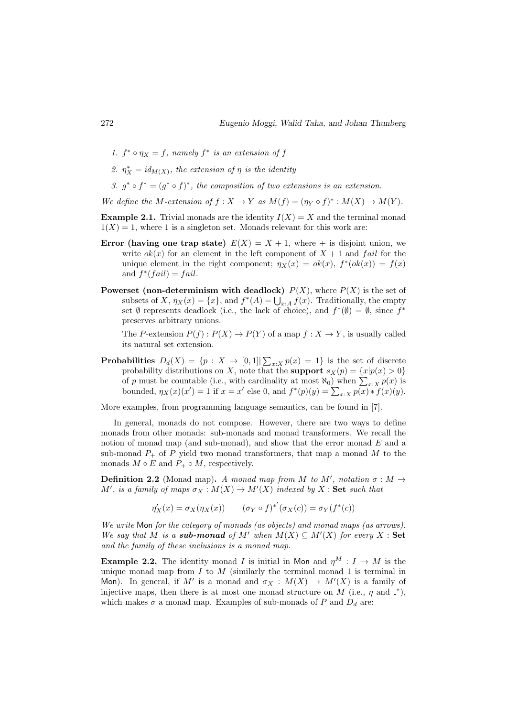- 1.  $f^* \circ \eta_X = f$ , namely  $f^*$  is an extension of f
- 2.  $\eta_X^* = id_{M(X)}$ , the extension of  $\eta$  is the identity
- 3.  $g^* \circ f^* = (g^* \circ f)^*$ , the composition of two extensions is an extension.

We define the M-extension of  $f: X \to Y$  as  $M(f) = (\eta_Y \circ f)^* : M(X) \to M(Y)$ .

**Example 2.1.** Trivial monads are the identity  $I(X) = X$  and the terminal monad  $1(X) = 1$ , where 1 is a singleton set. Monads relevant for this work are:

- **Error** (having one trap state)  $E(X) = X + 1$ , where + is disjoint union, we write  $ok(x)$  for an element in the left component of  $X + 1$  and fail for the unique element in the right component;  $\eta_X(x) = ok(x), f^*(ok(x)) = f(x)$ and  $f^*(fail) = fail.$
- **Powerset (non-determinism with deadlock)**  $P(X)$ , where  $P(X)$  is the set of subsets of X,  $\eta_X(x) = \{x\}$ , and  $f^*(A) = \bigcup_{x:A} f(x)$ . Traditionally, the empty set  $\emptyset$  represents deadlock (i.e., the lack of choice), and  $f^*(\emptyset) = \emptyset$ , since  $f^*$ preserves arbitrary unions.

The P-extension  $P(f) : P(X) \to P(Y)$  of a map  $f : X \to Y$ , is usually called its natural set extension.

**Probabilities**  $D_d(X) = \{p : X \to [0,1] | \sum_{x:X} p(x) = 1\}$  is the set of discrete probability distributions on X, note that the **support**  $s_X(p) = \{x|p(x) > 0\}$ of p must be countable (i.e., with cardinality at most  $\aleph_0$ ) when  $\sum_{x:X} p(x)$  is bounded,  $\eta_X(x)(x') = 1$  if  $x = x'$  else 0, and  $f^*(p)(y) = \sum_{x:X} p(x) \cdot f(x)(y)$ .

More examples, from programming language semantics, can be found in [7].

In general, monads do not compose. However, there are two ways to define monads from other monads: sub-monads and monad transformers. We recall the notion of monad map (and sub-monad), and show that the error monad  $E$  and a sub-monad  $P_+$  of P yield two monad transformers, that map a monad M to the monads  $M \circ E$  and  $P_+ \circ M$ , respectively.

**Definition 2.2** (Monad map). A monad map from M to M', notation  $\sigma : M \rightarrow$ M', is a family of maps  $\sigma_X : M(X) \to M'(X)$  indexed by X : Set such that

 $\eta'_X(x) = \sigma_X(\eta_X(x))$   $(\sigma_Y \circ f)^{*'}(\sigma_X(c)) = \sigma_Y(f^*(c))$ 

We write Mon for the category of monads (as objects) and monad maps (as arrows). We say that M is a **sub-monad** of M' when  $M(X) \subseteq M'(X)$  for every X : Set and the family of these inclusions is a monad map.

**Example 2.2.** The identity monad I is initial in Mon and  $\eta^M : I \to M$  is the unique monad map from  $I$  to  $M$  (similarly the terminal monad 1 is terminal in Mon). In general, if M' is a monad and  $\sigma_X : M(X) \to M'(X)$  is a family of injective maps, then there is at most one monad structure on M (i.e.,  $\eta$  and  $\zeta$ ), which makes  $\sigma$  a monad map. Examples of sub-monads of P and  $D_d$  are: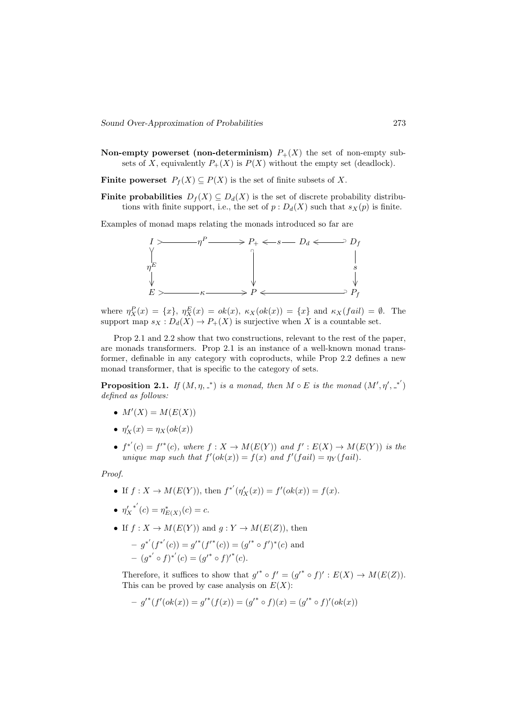Non-empty powerset (non-determinism)  $P_+(X)$  the set of non-empty subsets of X, equivalently  $P_+(X)$  is  $P(X)$  without the empty set (deadlock).

Finite powerset  $P_f(X) \subseteq P(X)$  is the set of finite subsets of X.

**Finite probabilities**  $D_f(X) \subseteq D_d(X)$  is the set of discrete probability distributions with finite support, i.e., the set of  $p : D_d(X)$  such that  $s_X(p)$  is finite.

Examples of monad maps relating the monads introduced so far are



where  $\eta_X^P(x) = \{x\}, \eta_X^E(x) = ok(x), \kappa_X(ok(x)) = \{x\}$  and  $\kappa_X(fail) = \emptyset$ . The support map  $s_X : D_d(X) \to P_+(X)$  is surjective when X is a countable set.

Prop 2.1 and 2.2 show that two constructions, relevant to the rest of the paper, are monads transformers. Prop 2.1 is an instance of a well-known monad transformer, definable in any category with coproducts, while Prop 2.2 defines a new monad transformer, that is specific to the category of sets.

**Proposition 2.1.** If  $(M, \eta, \zeta)$  is a monad, then  $M \circ E$  is the monad  $(M', \eta', \zeta')$ defined as follows:

- $M'(X) = M(E(X))$
- $\eta'_X(x) = \eta_X(\text{ok}(x))$
- $f^{*'}(c) = f^{*}(c)$ , where  $f: X \to M(E(Y))$  and  $f': E(X) \to M(E(Y))$  is the unique map such that  $f'(\alpha k(x)) = f(x)$  and  $f'(fail) = \eta_Y(fail)$ .

Proof.

- If  $f: X \to M(E(Y))$ , then  $f^{*'}(\eta'_X(x)) = f'(\alpha k(x)) = f(x)$ .
- $\eta'_{X}^{*'}(c) = \eta^*_{E(X)}(c) = c.$
- If  $f: X \to M(E(Y))$  and  $q: Y \to M(E(Z))$ , then  $-g^{*'}(f^{*'}(c)) = g'^*(f'^*(c)) = (g'^* \circ f')^*(c)$  and  $-(g^{*'} \circ f)^{*'}(c) = (g'^* \circ f)^{'}(c).$

Therefore, it suffices to show that  $g'^* \circ f' = (g'^* \circ f)' : E(X) \to M(E(Z)).$ This can be proved by case analysis on  $E(X)$ :

$$
-g'^{*}(f'(ok(x)) = g'^{*}(f(x)) = (g'^{*} \circ f)(x) = (g'^{*} \circ f)'(ok(x))
$$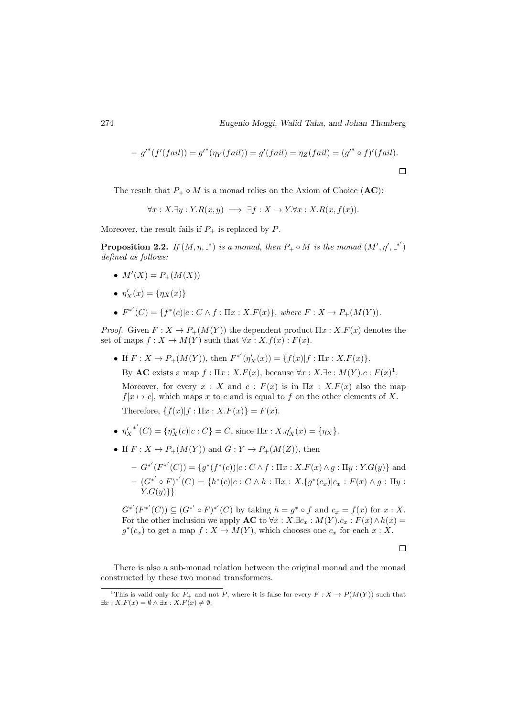$$
-g'^{*}(f'(fail)) = g'^{*}(\eta_Y(fail)) = g'(fail) = \eta_Z(fail) = (g'^{*} \circ f)'(fail).
$$

The result that  $P_+ \circ M$  is a monad relies on the Axiom of Choice (AC):

 $\forall x: X. \exists y: Y. R(x, y) \implies \exists f: X \rightarrow Y. \forall x: X. R(x, f(x)).$ 

Moreover, the result fails if  $P_+$  is replaced by  $P$ .

**Proposition 2.2.** If  $(M, \eta, \underline{\ }^*)$  is a monad, then  $P_+ \circ M$  is the monad  $(M', \eta', \underline{\ }^*)$ defined as follows:

- $M'(X) = P_+(M(X))$
- $\eta'_X(x) = \{\eta_X(x)\}\$
- $F^{*'}(C) = \{f^{*}(c)|c : C \wedge f : \Pi x : X.F(x)\}, \text{ where } F : X \to P_{+}(M(Y)).$

*Proof.* Given  $F: X \to P_+(M(Y))$  the dependent product  $\Pi x: X.F(x)$  denotes the set of maps  $f: X \to M(Y)$  such that  $\forall x: X. f(x): F(x)$ .

• If  $F: X \to P_+(M(Y))$ , then  $F^{*'}(\eta'_X(x)) = \{f(x)|f : \Pi x : X.F(x)\}.$ 

By AC exists a map  $f: \Pi x : X.F(x)$ , because  $\forall x : X.\exists c : M(Y).c : F(x)^1$ .

Moreover, for every  $x : X$  and  $c : F(x)$  is in  $\Pi x : X.F(x)$  also the map  $f[x \mapsto c]$ , which maps x to c and is equal to f on the other elements of X. Therefore,  $\{f(x)|f : \Pi x : X.F(x)\} = F(x)$ .

- ${\eta'_X}^{*'}(C) = {\eta^*_X(c)|c : C} = C$ , since  $\Pi x : X.\eta'_X(x) = {\eta_X}.$
- If  $F: X \to P_+(M(Y))$  and  $G: Y \to P_+(M(Z))$ , then
	- $-G^{*'}(F^{*'}(C)) = \{g^*(f^*(c)) | c : C \wedge f : \Pi x : X.F(x) \wedge g : \Pi y : Y.G(y)\}\$ and  $(G^{*'} \circ F)^{*'}(C) = \{h^*(c)|c : C \wedge h : \Pi x : X.\{g^*(c_x)|c_x : F(x) \wedge g : \Pi y : c_x\}$  $Y.$ G $(u)$ }}

 $G^{*'}(F^{*'}(C)) \subseteq (G^{*'} \circ F)^{*'}(C)$  by taking  $h = g^* \circ f$  and  $c_x = f(x)$  for  $x : X$ . For the other inclusion we apply  $AC$  to  $\forall x : X.\exists c_x : M(Y).c_x : F(x) \wedge h(x) =$  $g^*(c_x)$  to get a map  $f: X \to M(Y)$ , which chooses one  $c_x$  for each  $x: X$ .

 $\Box$ 

There is also a sub-monad relation between the original monad and the monad constructed by these two monad transformers.

<sup>&</sup>lt;sup>1</sup>This is valid only for  $P_+$  and not P, where it is false for every  $F: X \to P(M(Y))$  such that  $\exists x: X.F(x) = \emptyset \land \exists x: X.F(x) \neq \emptyset.$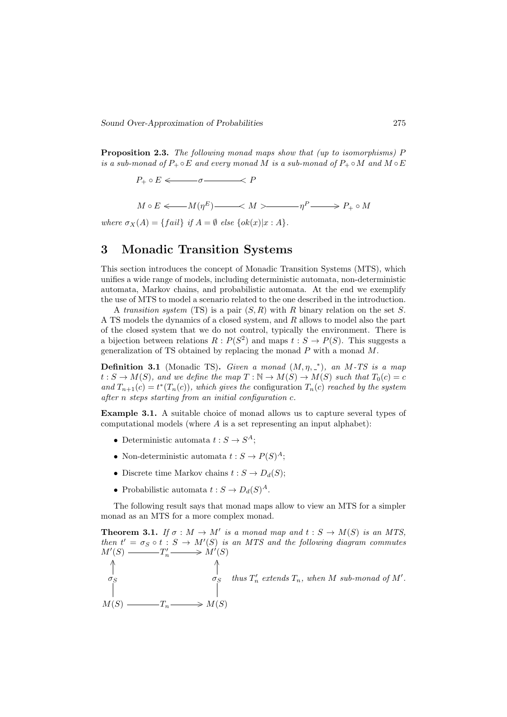Proposition 2.3. The following monad maps show that (up to isomorphisms) P is a sub-monad of  $P_+ \circ E$  and every monad M is a sub-monad of  $P_+ \circ M$  and  $M \circ E$ 

 $P_+ \circ E \Longleftarrow \sigma \longrightarrow P$ 

 $M \circ E \Longleftarrow M(\eta^E)$   $\longrightarrow M > \qquad \eta^P$   $\longrightarrow P_+ \circ M$ 

where  $\sigma_X(A) = \{ fail\}$  if  $A = \emptyset$  else  $\{ok(x)|x:A\}$ .

# 3 Monadic Transition Systems

This section introduces the concept of Monadic Transition Systems (MTS), which unifies a wide range of models, including deterministic automata, non-deterministic automata, Markov chains, and probabilistic automata. At the end we exemplify the use of MTS to model a scenario related to the one described in the introduction.

A transition system (TS) is a pair  $(S, R)$  with R binary relation on the set S. A TS models the dynamics of a closed system, and R allows to model also the part of the closed system that we do not control, typically the environment. There is a bijection between relations  $R: P(S^2)$  and maps  $t: S \to P(S)$ . This suggests a generalization of TS obtained by replacing the monad  $P$  with a monad  $M$ .

**Definition 3.1** (Monadic TS). Given a monad  $(M, \eta, \zeta^*)$ , an M-TS is a map  $t: S \to M(S)$ , and we define the map  $T: \mathbb{N} \to M(S) \to M(S)$  such that  $T_0(c) = c$ and  $T_{n+1}(c) = t^*(T_n(c))$ , which gives the configuration  $T_n(c)$  reached by the system after n steps starting from an initial configuration c.

Example 3.1. A suitable choice of monad allows us to capture several types of computational models (where A is a set representing an input alphabet):

- Deterministic automata  $t: S \to S^A$ ;
- Non-deterministic automata  $t: S \to P(S)^A$ ;
- Discrete time Markov chains  $t : S \to D_d(S)$ :
- Probabilistic automata  $t: S \to D_d(S)^A$ .

The following result says that monad maps allow to view an MTS for a simpler monad as an MTS for a more complex monad.

**Theorem 3.1.** If  $\sigma : M \to M'$  is a monad map and  $t : S \to M(S)$  is an MTS, then  $t' = \sigma_S \circ t : S \to M'(S)$  is an MTS and the following diagram commutes  $M'(S)$   $\longrightarrow T'_n \longrightarrow M'(S)$  $M(S)$   $\longrightarrow$   $T_n \longrightarrow M(S)$  $\sigma_S$ ∧  $\sigma_S$ ∧ thus  $T'_n$  extends  $T_n$ , when M sub-monad of M'.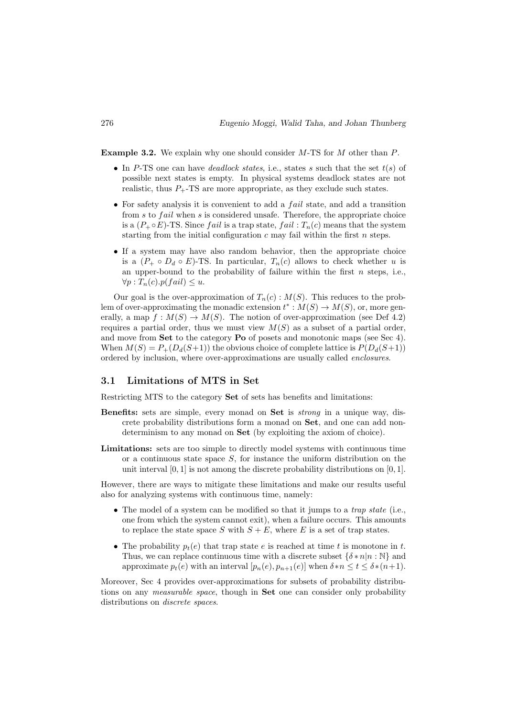**Example 3.2.** We explain why one should consider  $M$ -TS for  $M$  other than  $P$ .

- In P-TS one can have *deadlock states*, i.e., states s such that the set  $t(s)$  of possible next states is empty. In physical systems deadlock states are not realistic, thus  $P_{+}$ -TS are more appropriate, as they exclude such states.
- For safety analysis it is convenient to add a  $fail$  state, and add a transition from  $s$  to  $fail$  when  $s$  is considered unsafe. Therefore, the appropriate choice is a  $(P_+ \circ E)$ -TS. Since *fail* is a trap state, *fail* :  $T_n(c)$  means that the system starting from the initial configuration  $c$  may fail within the first  $n$  steps.
- If a system may have also random behavior, then the appropriate choice is a  $(P_+ \circ D_d \circ E)$ -TS. In particular,  $T_n(c)$  allows to check whether u is an upper-bound to the probability of failure within the first  $n$  steps, i.e.,  $\forall p: T_n(c) . p(fail) \leq u.$

Our goal is the over-approximation of  $T_n(c)$ :  $M(S)$ . This reduces to the problem of over-approximating the monadic extension  $t^*: M(S) \to M(S)$ , or, more generally, a map  $f : M(S) \to M(S)$ . The notion of over-approximation (see Def 4.2) requires a partial order, thus we must view  $M(S)$  as a subset of a partial order, and move from Set to the category Po of posets and monotonic maps (see Sec 4). When  $M(S) = P_+(D_d(S+1))$  the obvious choice of complete lattice is  $P(D_d(S+1))$ ordered by inclusion, where over-approximations are usually called enclosures.

#### 3.1 Limitations of MTS in Set

Restricting MTS to the category Set of sets has benefits and limitations:

- Benefits: sets are simple, every monad on Set is strong in a unique way, discrete probability distributions form a monad on Set, and one can add nondeterminism to any monad on Set (by exploiting the axiom of choice).
- Limitations: sets are too simple to directly model systems with continuous time or a continuous state space  $S$ , for instance the uniform distribution on the unit interval  $[0, 1]$  is not among the discrete probability distributions on  $[0, 1]$ .

However, there are ways to mitigate these limitations and make our results useful also for analyzing systems with continuous time, namely:

- The model of a system can be modified so that it jumps to a *trap state* (i.e., one from which the system cannot exit), when a failure occurs. This amounts to replace the state space S with  $S + E$ , where E is a set of trap states.
- The probability  $p_t(e)$  that trap state e is reached at time t is monotone in t. Thus, we can replace continuous time with a discrete subset  $\{\delta \cdot n | n : \mathbb{N}\}\)$  and approximate  $p_t(e)$  with an interval  $[p_n(e), p_{n+1}(e)]$  when  $\delta * n \le t \le \delta * (n+1)$ .

Moreover, Sec 4 provides over-approximations for subsets of probability distributions on any *measurable space*, though in Set one can consider only probability distributions on *discrete spaces*.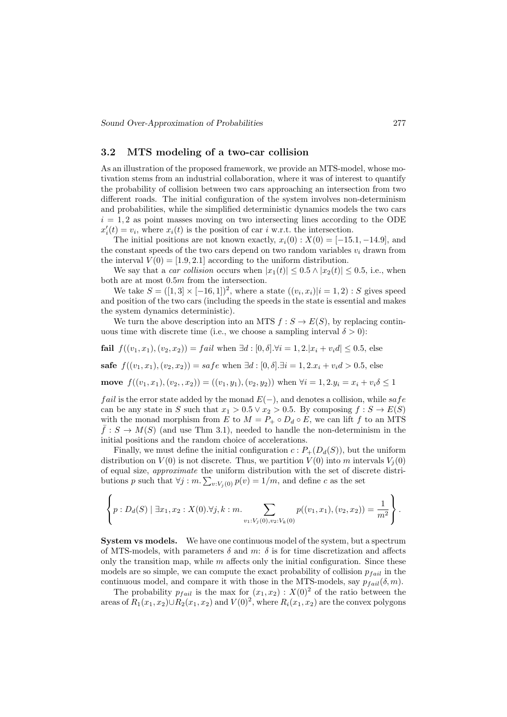#### 3.2 MTS modeling of a two-car collision

As an illustration of the proposed framework, we provide an MTS-model, whose motivation stems from an industrial collaboration, where it was of interest to quantify the probability of collision between two cars approaching an intersection from two different roads. The initial configuration of the system involves non-determinism and probabilities, while the simplified deterministic dynamics models the two cars  $i = 1, 2$  as point masses moving on two intersecting lines according to the ODE  $x_i'(t) = v_i$ , where  $x_i(t)$  is the position of car i w.r.t. the intersection.

The initial positions are not known exactly,  $x_i(0) : X(0) = [-15.1, -14.9]$ , and the constant speeds of the two cars depend on two random variables  $v_i$  drawn from the interval  $V(0) = [1.9, 2.1]$  according to the uniform distribution.

We say that a *car collision* occurs when  $|x_1(t)| \leq 0.5 \wedge |x_2(t)| \leq 0.5$ , i.e., when both are at most 0.5m from the intersection.

We take  $S = ([1, 3] \times [-16, 1])^2$ , where a state  $((v_i, x_i)|i = 1, 2) : S$  gives speed and position of the two cars (including the speeds in the state is essential and makes the system dynamics deterministic).

We turn the above description into an MTS  $f : S \to E(S)$ , by replacing continuous time with discrete time (i.e., we choose a sampling interval  $\delta > 0$ ):

fail  $f((v_1, x_1), (v_2, x_2)) = fail$  when  $\exists d : [0, \delta] \forall i = 1, 2 \forall i = 1, 2 \forall i \in \mathbb{Z}$ , else

safe  $f((v_1, x_1), (v_2, x_2)) = safe$  when  $\exists d : [0, \delta] \cdot \exists i = 1, 2 \cdot x_i + v_i d > 0.5$ , else

move  $f((v_1, x_1), (v_2, , x_2)) = ((v_1, y_1), (v_2, y_2))$  when  $\forall i = 1, 2, y_i = x_i + v_i \delta \leq 1$ 

*fail* is the error state added by the monad  $E(-)$ , and denotes a collision, while safe can be any state in S such that  $x_1 > 0.5 \vee x_2 > 0.5$ . By composing  $f : S \to E(S)$ with the monad morphism from E to  $M = P_+ \circ D_d \circ E$ , we can lift f to an MTS  $f: S \to M(S)$  (and use Thm 3.1), needed to handle the non-determinism in the initial positions and the random choice of accelerations.

Finally, we must define the initial configuration  $c : P_+(D_d(S))$ , but the uniform distribution on  $V(0)$  is not discrete. Thus, we partition  $V(0)$  into m intervals  $V_i(0)$ of equal size, approximate the uniform distribution with the set of discrete distributions p such that  $\forall j : m$ .  $\sum_{v: V_j(0)} p(v) = 1/m$ , and define c as the set

$$
\left\{ p: D_d(S) \mid \exists x_1, x_2 : X(0). \forall j, k : m. \sum_{v_1: V_j(0), v_2: V_k(0)} p((v_1, x_1), (v_2, x_2)) = \frac{1}{m^2} \right\}.
$$

System vs models. We have one continuous model of the system, but a spectrum of MTS-models, with parameters  $\delta$  and  $m: \delta$  is for time discretization and affects only the transition map, while  $m$  affects only the initial configuration. Since these models are so simple, we can compute the exact probability of collision  $p_{fail}$  in the continuous model, and compare it with those in the MTS-models, say  $p_{fail}(\delta, m)$ .

The probability  $p_{fail}$  is the max for  $(x_1, x_2) : X(0)^2$  of the ratio between the areas of  $R_1(x_1, x_2) \cup R_2(x_1, x_2)$  and  $V(0)^2$ , where  $R_i(x_1, x_2)$  are the convex polygons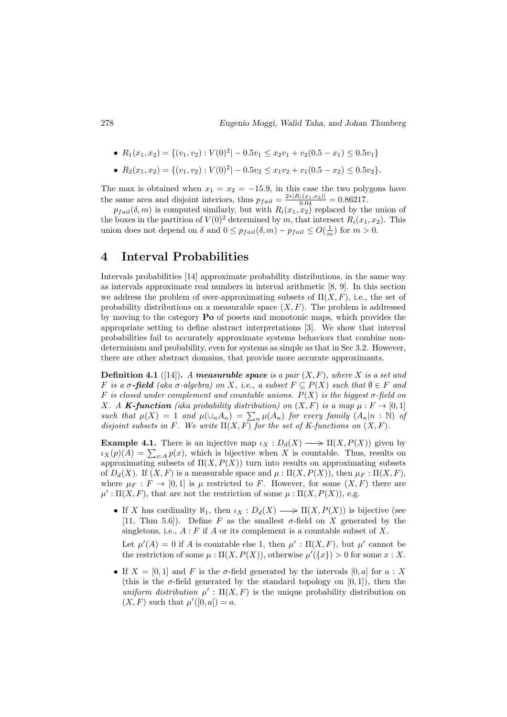• 
$$
R_1(x_1, x_2) = \{(v_1, v_2) : V(0)^2 | -0.5v_1 \le x_2v_1 + v_2(0.5 - x_1) \le 0.5v_1\}
$$

•  $R_2(x_1, x_2) = \{(v_1, v_2) : V(0)^2 | -0.5v_2 \le x_1v_2 + v_1(0.5 - x_2) \le 0.5v_2\}.$ 

The max is obtained when  $x_1 = x_2 = -15.9$ , in this case the two polygons have the same area and disjoint interiors, thus  $p_{fail} = \frac{2 * |R_i(x_1, x_2)|}{0.04} = 0.86217$ .

 $p_{fail}(\delta, m)$  is computed similarly, but with  $R_i(x_1, x_2)$  replaced by the union of the boxes in the partition of  $V(0)^2$  determined by m, that intersect  $R_i(x_1, x_2)$ . This union does not depend on  $\delta$  and  $0 \leq p_{fail}(\delta, m) - p_{fail} \leq O(\frac{1}{m})$  for  $m > 0$ .

# 4 Interval Probabilities

Intervals probabilities [14] approximate probability distributions, in the same way as intervals approximate real numbers in interval arithmetic [8, 9]. In this section we address the problem of over-approximating subsets of  $\Pi(X, F)$ , i.e., the set of probability distributions on a measurable space  $(X, F)$ . The problem is addressed by moving to the category Po of posets and monotonic maps, which provides the appropriate setting to define abstract interpretations [3]. We show that interval probabilities fail to accurately approximate systems behaviors that combine nondeterminism and probability, even for systems as simple as that in Sec 3.2. However, there are other abstract domains, that provide more accurate approximants.

**Definition 4.1** ([14]). A measurable space is a pair  $(X, F)$ , where X is a set and F is a  $\sigma$ -field (aka  $\sigma$ -algebra) on X, i.e., a subset  $F \subseteq P(X)$  such that  $\emptyset \in F$  and F is closed under complement and countable unions.  $P(X)$  is the biggest  $\sigma$ -field on X. A **K-function** (aka probability distribution) on  $(X, F)$  is a map  $\mu : F \to [0, 1]$ such that  $\mu(X) = 1$  and  $\mu(\cup_n A_n) = \sum_n \mu(A_n)$  for every family  $(A_n | n : \mathbb{N})$  of disjoint subsets in F. We write  $\Pi(X, F)$  for the set of K-functions on  $(X, F)$ .

**Example 4.1.** There is an injective map  $\iota_X : D_d(X) \longrightarrow \Pi(X, P(X))$  given by  $\iota_X(p)(A) = \sum_{x:A} p(x)$ , which is bijective when X is countable. Thus, results on approximating subsets of  $\Pi(X, P(X))$  turn into results on approximating subsets of  $D_d(X)$ . If  $(X, F)$  is a measurable space and  $\mu : \Pi(X, P(X))$ , then  $\mu_F : \Pi(X, F)$ , where  $\mu_F : F \to [0,1]$  is  $\mu$  restricted to F. However, for some  $(X,F)$  there are  $\mu' : \Pi(X, F)$ , that are not the restriction of some  $\mu : \Pi(X, P(X))$ , e.g.

• If X has cardinality  $\aleph_1$ , then  $\iota_X : D_d(X) \longrightarrow \Pi(X, P(X))$  is bijective (see [11, Thm 5.6]). Define F as the smallest  $\sigma$ -field on X generated by the singletons, i.e.,  $A : F$  if A or its complement is a countable subset of X.

Let  $\mu'(A) = 0$  if A is countable else 1, then  $\mu' : \Pi(X, F)$ , but  $\mu'$  cannot be the restriction of some  $\mu : \Pi(X, P(X))$ , otherwise  $\mu'(\lbrace x \rbrace) > 0$  for some  $x : X$ .

• If  $X = [0, 1]$  and F is the  $\sigma$ -field generated by the intervals  $[0, a]$  for  $a : X$ (this is the  $\sigma$ -field generated by the standard topology on [0, 1]), then the uniform distribution  $\mu'$ :  $\Pi(X, F)$  is the unique probability distribution on  $(X, F)$  such that  $\mu'([0, a]) = a$ .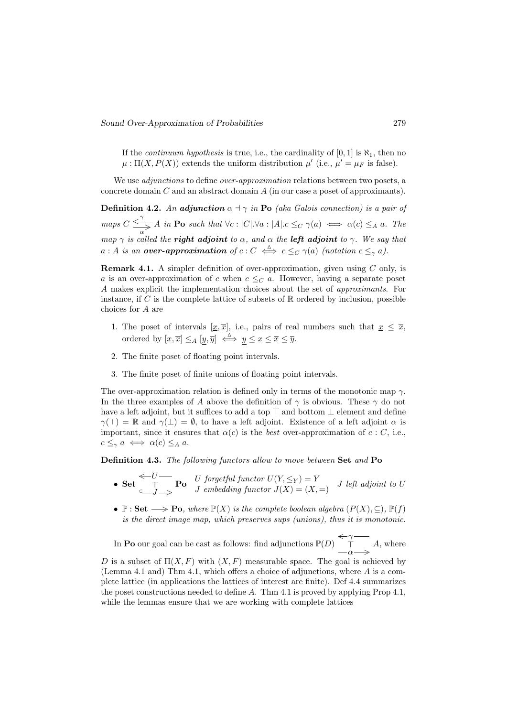If the *continuum hypothesis* is true, i.e., the cardinality of  $[0, 1]$  is  $\aleph_1$ , then no  $\mu: \Pi(X, P(X))$  extends the uniform distribution  $\mu'$  (i.e.,  $\mu' = \mu_F$  is false).

We use *adjunctions* to define *over-approximation* relations between two posets, a concrete domain  $C$  and an abstract domain  $A$  (in our case a poset of approximants).

**Definition 4.2.** An adjunction  $\alpha \dashv \gamma$  in Po (aka Galois connection) is a pair of maps  $C \leq^{\gamma} A$  in Po such that  $\forall c : |C| \cdot \forall a : |A| \cdot c \leq_C \gamma(a) \iff \alpha(c) \leq_A a$ . The map  $\gamma$  is called the **right adjoint** to  $\alpha$ , and  $\alpha$  the **left adjoint** to  $\gamma$ . We say that  $a : A$  is an over-approximation of  $c : C \iff c \leq_C \gamma(a)$  (notation  $c \leq_{\gamma} a$ ).

**Remark 4.1.** A simpler definition of over-approximation, given using  $C$  only, is a is an over-approximation of c when  $c \leq_C a$ . However, having a separate poset A makes explicit the implementation choices about the set of approximants. For instance, if C is the complete lattice of subsets of  $\mathbb R$  ordered by inclusion, possible choices for A are

- 1. The poset of intervals  $[\underline{x}, \overline{x}]$ , i.e., pairs of real numbers such that  $\underline{x} \leq \overline{x}$ , ordered by  $[\underline{x}, \overline{x}] \leq_A [y, \overline{y}] \iff y \leq \underline{x} \leq \overline{x} \leq \overline{y}.$
- 2. The finite poset of floating point intervals.
- 3. The finite poset of finite unions of floating point intervals.

The over-approximation relation is defined only in terms of the monotonic map  $\gamma$ . In the three examples of A above the definition of  $\gamma$  is obvious. These  $\gamma$  do not have a left adjoint, but it suffices to add a top  $\top$  and bottom  $\bot$  element and define  $\gamma(T) = \mathbb{R}$  and  $\gamma(\perp) = \emptyset$ , to have a left adjoint. Existence of a left adjoint  $\alpha$  is important, since it ensures that  $\alpha(c)$  is the *best* over-approximation of  $c : C$ , i.e.,  $c \leq_{\gamma} a \iff \alpha(c) \leq_A a$ .

Definition 4.3. The following functors allow to move between Set and Po

- Set  $\leftarrow U$  $\begin{array}{c} \leftarrow U \longrightarrow \Gamma \ \Gamma \longrightarrow U \ \end{array}$  forgetful functor  $U(Y, \leq_Y) = Y \ \text{(} X, =) \ \end{array}$  J left adjoint to U
- $\mathbb{P}: \mathbf{Set} \longrightarrow \mathbf{Po}, \text{ where } \mathbb{P}(X) \text{ is the complete boolean algebra } (P(X), \subset), \mathbb{P}(f)$ is the direct image map, which preserves sups (unions), thus it is monotonic.

In **Po** our goal can be cast as follows: find adjunctions  $\mathbb{P}(D) \subseteq \gamma$  $\top$  $\alpha \longrightarrow$ A, where

D is a subset of  $\Pi(X, F)$  with  $(X, F)$  measurable space. The goal is achieved by (Lemma 4.1 and) Thm 4.1, which offers a choice of adjunctions, where A is a complete lattice (in applications the lattices of interest are finite). Def 4.4 summarizes the poset constructions needed to define A. Thm 4.1 is proved by applying Prop 4.1, while the lemmas ensure that we are working with complete lattices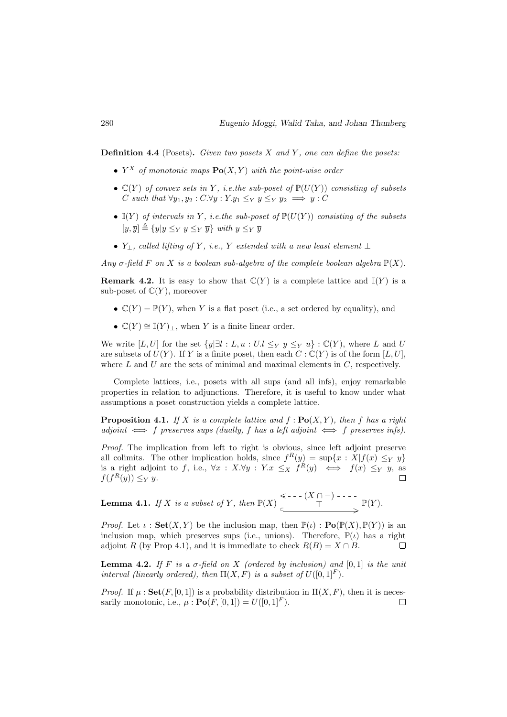**Definition 4.4** (Posets). Given two posets  $X$  and  $Y$ , one can define the posets:

- $Y^X$  of monotonic maps  $\text{Po}(X, Y)$  with the point-wise order
- $\mathbb{C}(Y)$  of convex sets in Y, i.e.the sub-poset of  $\mathbb{P}(U(Y))$  consisting of subsets C such that  $\forall y_1, y_2 : C.\forall y : Y.y_1 \leq_Y y \leq_Y y_2 \implies y : C$
- $\mathbb{I}(Y)$  of intervals in Y, i.e. the sub-poset of  $\mathbb{P}(U(Y))$  consisting of the subsets  $[y, \overline{y}] \stackrel{\Delta}{=} \{y|y \leq_Y y \leq_Y \overline{y}\}$  with  $y \leq_Y \overline{y}$
- $Y_{\perp}$ , called lifting of Y, i.e., Y extended with a new least element  $\perp$

Any  $\sigma$ -field F on X is a boolean sub-algebra of the complete boolean algebra  $\mathbb{P}(X)$ .

**Remark 4.2.** It is easy to show that  $\mathbb{C}(Y)$  is a complete lattice and  $\mathbb{I}(Y)$  is a sub-poset of  $\mathbb{C}(Y)$ , moreover

- $\mathbb{C}(Y) = \mathbb{P}(Y)$ , when Y is a flat poset (i.e., a set ordered by equality), and
- $\mathbb{C}(Y) \cong \mathbb{I}(Y)_{\perp}$ , when Y is a finite linear order.

We write [L, U] for the set  $\{y|\exists l : L, u : U.l \leq_Y y \leq_Y u\} : \mathbb{C}(Y)$ , where L and U are subsets of  $U(Y)$ . If Y is a finite poset, then each  $C : \mathbb{C}(Y)$  is of the form  $[L, U]$ , where  $L$  and  $U$  are the sets of minimal and maximal elements in  $C$ , respectively.

Complete lattices, i.e., posets with all sups (and all infs), enjoy remarkable properties in relation to adjunctions. Therefore, it is useful to know under what assumptions a poset construction yields a complete lattice.

**Proposition 4.1.** If X is a complete lattice and  $f : \textbf{Po}(X, Y)$ , then f has a right  $adjoint \iff f$  preserves sups (dually, f has a left adjoint  $\iff f$  preserves infs).

Proof. The implication from left to right is obvious, since left adjoint preserve all colimits. The other implication holds, since  $f^{(R)}(y) = \sup\{x : X | f(x) \leq_Y y\}$ is a right adjoint to f, i.e.,  $\forall x : X.\forall y : Y.x \leq_X f^{(k)}(y) \iff f(x) \leq_Y y$ , as  $f(f^R(y)) \leq_Y y.$  $\Box$ 

**Lemma 4.1.** If X is a subset of Y, then  $\mathbb{P}(X) \leq C$  -  $\cdot$  ( $X \cap -$ )  $\begin{CD} \begin{matrix} \cdot & \cdot & \cdot & \cdot \\ \cdot & \cdot & \cdot & \cdot \\ \hline \end{matrix} & \longrightarrow \begin{matrix} \mathbb{P}(Y). \end{matrix}$ 

*Proof.* Let  $\iota$ : **Set**(X, Y) be the inclusion map, then  $\mathbb{P}(\iota)$ : **Po**( $\mathbb{P}(X), \mathbb{P}(Y)$ ) is an inclusion map, which preserves sups (i.e., unions). Therefore,  $\mathbb{P}(\iota)$  has a right adjoint R (by Prop 4.1), and it is immediate to check  $R(B) = X \cap B$ .  $\Box$ 

**Lemma 4.2.** If F is a  $\sigma$ -field on X (ordered by inclusion) and [0,1] is the unit interval (linearly ordered), then  $\Pi(X, F)$  is a subset of  $U([0, 1]^F)$ .

*Proof.* If  $\mu$ :  $\text{Set}(F, [0, 1])$  is a probability distribution in  $\Pi(X, F)$ , then it is necessarily monotonic, i.e.,  $\mu : \mathbf{Po}(F, [0, 1]) = U([0, 1]^F)$ .  $\Box$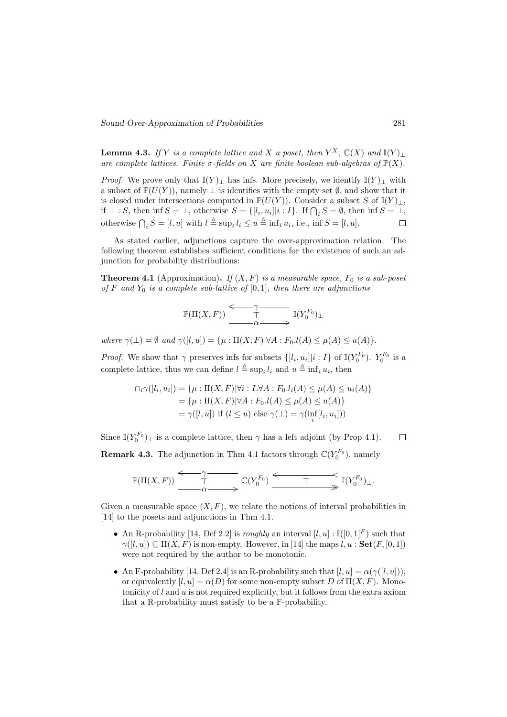**Lemma 4.3.** If Y is a complete lattice and X a poset, then  $Y^X$ ,  $\mathbb{C}(X)$  and  $\mathbb{I}(Y)$   $\perp$ are complete lattices. Finite  $\sigma$ -fields on X are finite boolean sub-algebras of  $\mathbb{P}(X)$ .

*Proof.* We prove only that  $\mathbb{I}(Y)_\perp$  has infs. More precisely, we identify  $\mathbb{I}(Y)_\perp$  with a subset of  $\mathbb{P}(U(Y))$ , namely  $\perp$  is identifies with the empty set  $\emptyset$ , and show that it is closed under intersections computed in  $\mathbb{P}(U(Y))$ . Consider a subset S of  $\mathbb{I}(Y)_\perp$ , if  $\bot : S$ , then inf  $S = \bot$ , otherwise  $S = \{[l_i, u_i] | i : I\}$ . If  $\bigcap_i S = \emptyset$ , then inf  $S = \bot$ , otherwise  $\bigcap_i S = [l, u]$  with  $l \triangleq \sup_i l_i \leq u \triangleq \inf_i u_i$ , i.e., inf  $S = [l, u]$ .  $\Box$ 

As stated earlier, adjunctions capture the over-approximation relation. The following theorem establishes sufficient conditions for the existence of such an adjunction for probability distributions:

**Theorem 4.1** (Approximation). If  $(X, F)$  is a measurable space,  $F_0$  is a sub-poset of F and  $Y_0$  is a complete sub-lattice of  $[0, 1]$ , then there are adjunctions

$$
\mathbb{P}(\Pi(X,F)) \xrightarrow{\begin{array}{c}\gamma \quad \text{if } (Y_0^{F_0})_{\perp} \\ \text{if } (Y_0^{F_0})_{\perp} \end{array}}
$$

where  $\gamma(\perp) = \emptyset$  and  $\gamma([l, u]) = {\mu : \Pi(X, F)| \forall A : F_0.l(A) \leq \mu(A) \leq u(A)}.$ 

*Proof.* We show that  $\gamma$  preserves infs for subsets  $\{[l_i, u_i] | i : I\}$  of  $\mathbb{I}(Y_0^{F_0})$ .  $Y_0^{F_0}$  is a complete lattice, thus we can define  $l \triangleq \sup_i l_i$  and  $u \triangleq \inf_i u_i$ , then

$$
\bigcap_i \gamma([l_i, u_i]) = \{ \mu : \Pi(X, F) | \forall i : I. \forall A : F_0. l_i(A) \le \mu(A) \le u_i(A) \}
$$
  
=  $\{ \mu : \Pi(X, F) | \forall A : F_0. l(A) \le \mu(A) \le u(A) \}$   
=  $\gamma([l, u])$  if  $(l \le u)$  else  $\gamma(\perp) = \gamma(\inf_i[l_i, u_i]))$ 

Since  $\mathbb{I}(Y_0^{F_0})_{\perp}$  is a complete lattice, then  $\gamma$  has a left adjoint (by Prop 4.1).  $\Box$ 

**Remark 4.3.** The adjunction in Thm 4.1 factors through  $\mathbb{C}(Y_0^{F_0})$ , namely

$$
\mathbb{P}(\Pi(X,F)) \xrightarrow{\gamma} \mathbb{C}(Y_0^{F_0}) \xrightarrow{\gamma} \mathbb{C}(Y_0^{F_0}) \xrightarrow{\gamma} \mathbb{I}(Y_0^{F_0})_{\perp}.
$$

Given a measurable space  $(X, F)$ , we relate the notions of interval probabilities in [14] to the posets and adjunctions in Thm 4.1.

- An R-probability [14, Def 2.2] is roughly an interval  $[l, u] : \mathbb{I}([0, 1]^F)$  such that  $\gamma([l, u]) \subseteq \Pi(X, F)$  is non-empty. However, in [14] the maps  $l, u : \mathbf{Set}(F, [0, 1])$ were not required by the author to be monotonic.
- An F-probability [14, Def 2.4] is an R-probability such that  $[l, u] = \alpha(\gamma([l, u]))$ , or equivalently  $[l, u] = \alpha(D)$  for some non-empty subset D of  $\Pi(X, F)$ . Monotonicity of  $l$  and  $u$  is not required explicitly, but it follows from the extra axiom that a R-probability must satisfy to be a F-probability.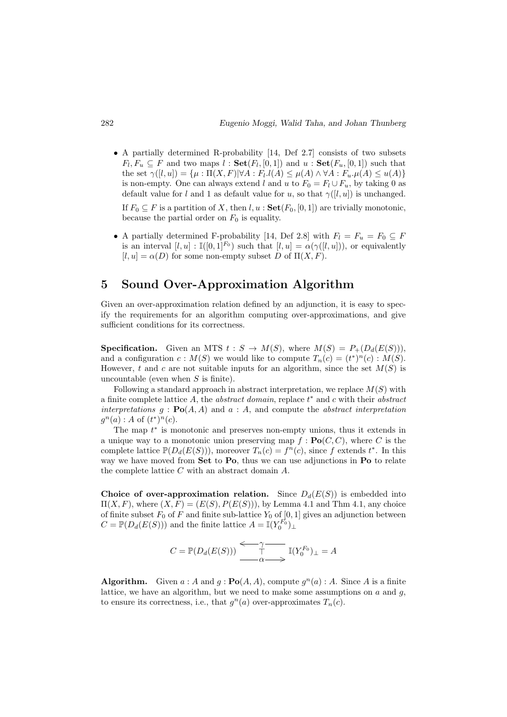• A partially determined R-probability [14, Def 2.7] consists of two subsets  $F_l, F_u \subseteq F$  and two maps  $l : \mathbf{Set}(F_l, [0,1])$  and  $u : \mathbf{Set}(F_u, [0,1])$  such that the set  $\gamma([l, u]) = {\mu : \Pi(X, F)| \forall A : F_l.l(A) \leq \mu(A) \land \forall A : F_u . \mu(A) \leq u(A)}$ is non-empty. One can always extend l and u to  $F_0 = F_l \cup F_u$ , by taking 0 as default value for l and 1 as default value for u, so that  $\gamma([l, u])$  is unchanged.

If  $F_0 \subseteq F$  is a partition of X, then  $l, u : \mathbf{Set}(F_0, [0, 1])$  are trivially monotonic, because the partial order on  $F_0$  is equality.

• A partially determined F-probability [14, Def 2.8] with  $F_l = F_u = F_0 \subseteq F$ is an interval  $[l, u] : \mathbb{I}([0, 1]^{F_0})$  such that  $[l, u] = \alpha(\gamma([l, u])),$  or equivalently  $[l, u] = \alpha(D)$  for some non-empty subset D of  $\Pi(X, F)$ .

# 5 Sound Over-Approximation Algorithm

Given an over-approximation relation defined by an adjunction, it is easy to specify the requirements for an algorithm computing over-approximations, and give sufficient conditions for its correctness.

**Specification.** Given an MTS  $t : S \to M(S)$ , where  $M(S) = P_+(D_d(E(S))),$ and a configuration  $c : M(S)$  we would like to compute  $T_n(c) = (t^*)^n(c) : M(S)$ . However, t and c are not suitable inputs for an algorithm, since the set  $M(S)$  is uncountable (even when  $S$  is finite).

Following a standard approach in abstract interpretation, we replace  $M(S)$  with a finite complete lattice  $A$ , the *abstract domain*, replace  $t^*$  and  $c$  with their *abstract* interpretations  $g : \mathbf{Po}(A, A)$  and  $a : A$ , and compute the abstract interpretation  $g^{n}(a) : A \text{ of } (t^{*})^{n}(c).$ 

The map  $t^*$  is monotonic and preserves non-empty unions, thus it extends in a unique way to a monotonic union preserving map  $f : \textbf{Po}(C, C)$ , where C is the complete lattice  $\mathbb{P}(D_d(E(S))),$  moreover  $T_n(c) = f^n(c)$ , since f extends  $t^*$ . In this way we have moved from Set to Po, thus we can use adjunctions in Po to relate the complete lattice  $C$  with an abstract domain  $A$ .

Choice of over-approximation relation. Since  $D_d(E(S))$  is embedded into  $\Pi(X, F)$ , where  $(X, F) = (E(S), P(E(S))),$  by Lemma 4.1 and Thm 4.1, any choice of finite subset  $F_0$  of F and finite sub-lattice  $Y_0$  of  $[0, 1]$  gives an adjunction between  $C = \mathbb{P}(D_d(E(S)))$  and the finite lattice  $A = \mathbb{I}(Y_0^{F_0})_{\perp}$ 

$$
C = \mathbb{P}(D_d(E(S))) \xrightarrow{\leftarrow} \overbrace{\top}^{\gamma} \mathbb{I}(Y_0^{F_0})_{\perp} = A
$$

**Algorithm.** Given  $a : A$  and  $g : \textbf{Po}(A, A)$ , compute  $g^n(a) : A$ . Since A is a finite lattice, we have an algorithm, but we need to make some assumptions on  $a$  and  $q$ . to ensure its correctness, i.e., that  $g^{n}(a)$  over-approximates  $T_{n}(c)$ .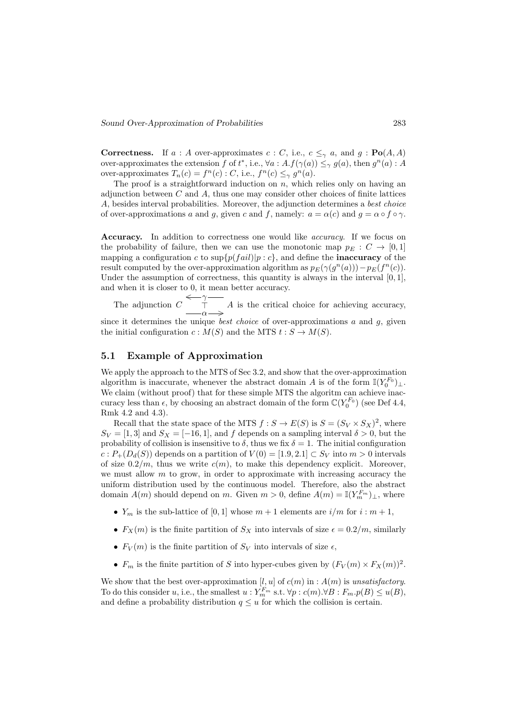**Correctness.** If  $a : A$  over-approximates  $c : C$ , i.e.,  $c \leq_{\gamma} a$ , and  $g : \textbf{Po}(A, A)$ over-approximates the extension f of  $t^*$ , i.e.,  $\forall a : A.f(\gamma(a)) \leq_{\gamma} g(a)$ , then  $g^n(a) : A$ over-approximates  $T_n(c) = f^n(c)$ : C, i.e.,  $f^n(c) \leq_\gamma g^n(a)$ .

The proof is a straightforward induction on  $n$ , which relies only on having an adjunction between  $C$  and  $A$ , thus one may consider other choices of finite lattices A, besides interval probabilities. Moreover, the adjunction determines a best choice of over-approximations a and g, given c and f, namely:  $a = \alpha(c)$  and  $g = \alpha \circ f \circ \gamma$ .

Accuracy. In addition to correctness one would like *accuracy*. If we focus on the probability of failure, then we can use the monotonic map  $p_E : C \to [0,1]$ mapping a configuration c to  $\sup\{p(fail)|p : c\}$ , and define the **inaccuracy** of the result computed by the over-approximation algorithm as  $p_E(\gamma(g^n(a))) - p_E(f^n(c))$ . Under the assumption of correctness, this quantity is always in the interval  $[0, 1]$ , and when it is closer to 0, it mean better accuracy.

The adjunction C  $\leftarrow$  $\top$  $\alpha \longrightarrow$ A is the critical choice for achieving accuracy, since it determines the unique *best choice* of over-approximations  $a$  and  $q$ , given

# 5.1 Example of Approximation

the initial configuration  $c : M(S)$  and the MTS  $t : S \to M(S)$ .

We apply the approach to the MTS of Sec 3.2, and show that the over-approximation algorithm is inaccurate, whenever the abstract domain A is of the form  $\mathbb{I}(Y_0^{F_0})_{\perp}$ . We claim (without proof) that for these simple MTS the algoritm can achieve inaccuracy less than  $\epsilon$ , by choosing an abstract domain of the form  $\mathbb{C}(Y_0^{F_0})$  (see Def 4.4, Rmk 4.2 and 4.3).

Recall that the state space of the MTS  $f : S \to E(S)$  is  $S = (S_V \times S_X)^2$ , where  $S_V = [1, 3]$  and  $S_X = [-16, 1]$ , and f depends on a sampling interval  $\delta > 0$ , but the probability of collision is insensitive to  $\delta$ , thus we fix  $\delta = 1$ . The initial configuration  $c: P_{+}(D_{d}(S))$  depends on a partition of  $V(0) = [1.9, 2.1] \subset S_{V}$  into  $m > 0$  intervals of size  $0.2/m$ , thus we write  $c(m)$ , to make this dependency explicit. Moreover, we must allow  $m$  to grow, in order to approximate with increasing accuracy the uniform distribution used by the continuous model. Therefore, also the abstract domain  $A(m)$  should depend on m. Given  $m > 0$ , define  $A(m) = \mathbb{I}(Y_m^{F_m})_{\perp}$ , where

- $Y_m$  is the sub-lattice of [0, 1] whose  $m + 1$  elements are  $i/m$  for  $i : m + 1$ ,
- $F_X(m)$  is the finite partition of  $S_X$  into intervals of size  $\epsilon = 0.2/m$ , similarly
- $F_V(m)$  is the finite partition of  $S_V$  into intervals of size  $\epsilon$ ,
- $F_m$  is the finite partition of S into hyper-cubes given by  $(F_V(m) \times F_X(m))^2$ .

We show that the best over-approximation [l, u] of  $c(m)$  in :  $A(m)$  is unsatisfactory. To do this consider u, i.e., the smallest  $u: Y_{m}^{F_{m}}$  s.t.  $\forall p: c(m) \forall B: F_{m}.p(B) \leq u(B)$ , and define a probability distribution  $q \leq u$  for which the collision is certain.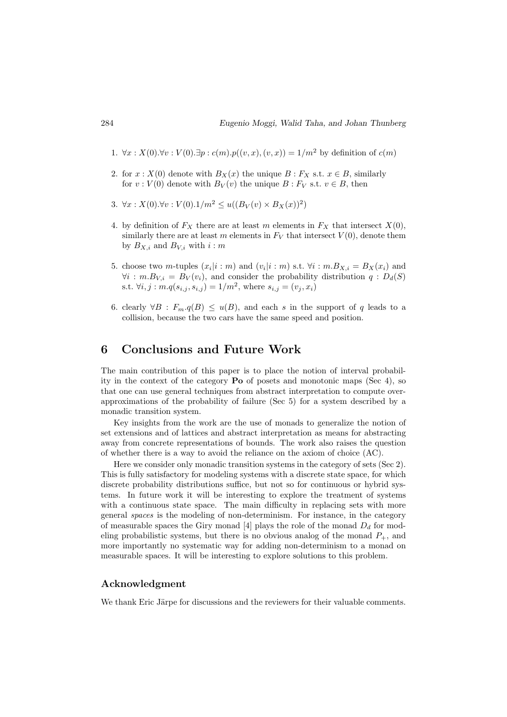- 1. ∀x :  $X(0)$ .∀v :  $V(0)$ .∃p :  $c(m)$ . $p((v, x), (v, x)) = 1/m^2$  by definition of  $c(m)$
- 2. for  $x: X(0)$  denote with  $B_X(x)$  the unique  $B: F_X$  s.t.  $x \in B$ , similarly for  $v: V(0)$  denote with  $B_V(v)$  the unique  $B: F_V$  s.t.  $v \in B$ , then
- 3.  $\forall x: X(0). \forall v: V(0).1/m^2 \leq u((B_V(v) \times B_X(x))^2)$
- 4. by definition of  $F_X$  there are at least m elements in  $F_X$  that intersect  $X(0)$ , similarly there are at least m elements in  $F_V$  that intersect  $V(0)$ , denote them by  $B_{X,i}$  and  $B_{V,i}$  with  $i : m$
- 5. choose two *m*-tuples  $(x_i|i : m)$  and  $(v_i|i : m)$  s.t.  $\forall i : m.B_{X,i} = B_X(x_i)$  and  $\forall i : m.B_{Vi} = B_V(v_i)$ , and consider the probability distribution  $q : D_d(S)$ s.t.  $\forall i, j : m.q(s_{i,j}, s_{i,j}) = 1/m^2$ , where  $s_{i,j} = (v_j, x_i)$
- 6. clearly  $\forall B : F_m(q|B) \leq u(B)$ , and each s in the support of q leads to a collision, because the two cars have the same speed and position.

## 6 Conclusions and Future Work

The main contribution of this paper is to place the notion of interval probability in the context of the category Po of posets and monotonic maps (Sec 4), so that one can use general techniques from abstract interpretation to compute overapproximations of the probability of failure (Sec 5) for a system described by a monadic transition system.

Key insights from the work are the use of monads to generalize the notion of set extensions and of lattices and abstract interpretation as means for abstracting away from concrete representations of bounds. The work also raises the question of whether there is a way to avoid the reliance on the axiom of choice (AC).

Here we consider only monadic transition systems in the category of sets (Sec 2). This is fully satisfactory for modeling systems with a discrete state space, for which discrete probability distributions suffice, but not so for continuous or hybrid systems. In future work it will be interesting to explore the treatment of systems with a continuous state space. The main difficulty in replacing sets with more general spaces is the modeling of non-determinism. For instance, in the category of measurable spaces the Giry monad [4] plays the role of the monad  $D_d$  for modeling probabilistic systems, but there is no obvious analog of the monad  $P_{+}$ , and more importantly no systematic way for adding non-determinism to a monad on measurable spaces. It will be interesting to explore solutions to this problem.

#### Acknowledgment

We thank Eric Järpe for discussions and the reviewers for their valuable comments.